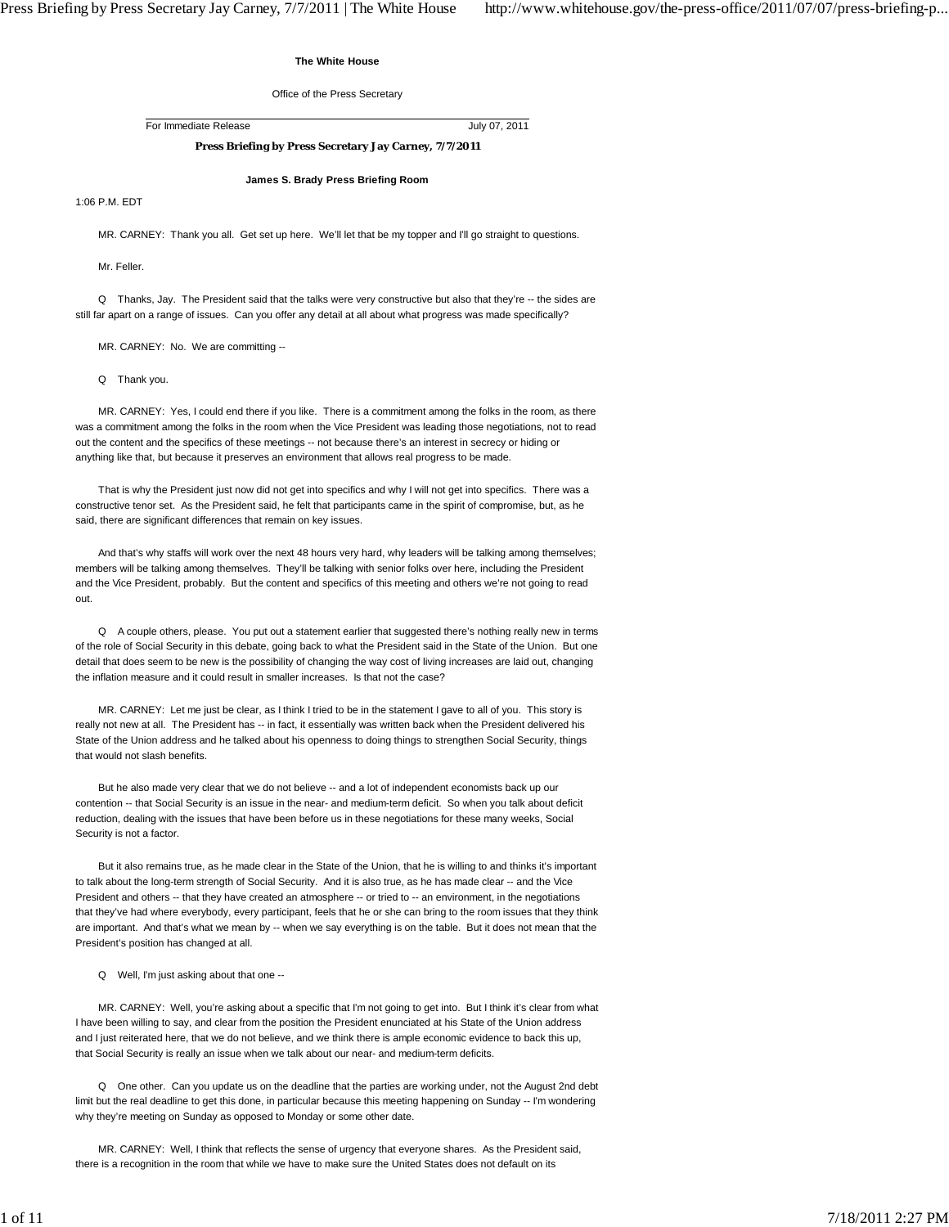## **The White House**

Office of the Press Secretary

For Immediate Release July 07, 2011

## **Press Briefing by Press Secretary Jay Carney, 7/7/2011**

**James S. Brady Press Briefing Room**

1:06 P.M. EDT

MR. CARNEY: Thank you all. Get set up here. We'll let that be my topper and I'll go straight to questions.

Mr. Feller.

 Q Thanks, Jay. The President said that the talks were very constructive but also that they're -- the sides are still far apart on a range of issues. Can you offer any detail at all about what progress was made specifically?

MR. CARNEY: No. We are committing --

Q Thank you.

 MR. CARNEY: Yes, I could end there if you like. There is a commitment among the folks in the room, as there was a commitment among the folks in the room when the Vice President was leading those negotiations, not to read out the content and the specifics of these meetings -- not because there's an interest in secrecy or hiding or anything like that, but because it preserves an environment that allows real progress to be made.

 That is why the President just now did not get into specifics and why I will not get into specifics. There was a constructive tenor set. As the President said, he felt that participants came in the spirit of compromise, but, as he said, there are significant differences that remain on key issues.

 And that's why staffs will work over the next 48 hours very hard, why leaders will be talking among themselves; members will be talking among themselves. They'll be talking with senior folks over here, including the President and the Vice President, probably. But the content and specifics of this meeting and others we're not going to read out.

 Q A couple others, please. You put out a statement earlier that suggested there's nothing really new in terms of the role of Social Security in this debate, going back to what the President said in the State of the Union. But one detail that does seem to be new is the possibility of changing the way cost of living increases are laid out, changing the inflation measure and it could result in smaller increases. Is that not the case?

 MR. CARNEY: Let me just be clear, as I think I tried to be in the statement I gave to all of you. This story is really not new at all. The President has -- in fact, it essentially was written back when the President delivered his State of the Union address and he talked about his openness to doing things to strengthen Social Security, things that would not slash benefits.

 But he also made very clear that we do not believe -- and a lot of independent economists back up our contention -- that Social Security is an issue in the near- and medium-term deficit. So when you talk about deficit reduction, dealing with the issues that have been before us in these negotiations for these many weeks, Social Security is not a factor.

 But it also remains true, as he made clear in the State of the Union, that he is willing to and thinks it's important to talk about the long-term strength of Social Security. And it is also true, as he has made clear -- and the Vice President and others -- that they have created an atmosphere -- or tried to -- an environment, in the negotiations that they've had where everybody, every participant, feels that he or she can bring to the room issues that they think are important. And that's what we mean by -- when we say everything is on the table. But it does not mean that the President's position has changed at all.

Q Well, I'm just asking about that one --

 MR. CARNEY: Well, you're asking about a specific that I'm not going to get into. But I think it's clear from what I have been willing to say, and clear from the position the President enunciated at his State of the Union address and I just reiterated here, that we do not believe, and we think there is ample economic evidence to back this up, that Social Security is really an issue when we talk about our near- and medium-term deficits.

 Q One other. Can you update us on the deadline that the parties are working under, not the August 2nd debt limit but the real deadline to get this done, in particular because this meeting happening on Sunday -- I'm wondering why they're meeting on Sunday as opposed to Monday or some other date.

 MR. CARNEY: Well, I think that reflects the sense of urgency that everyone shares. As the President said, there is a recognition in the room that while we have to make sure the United States does not default on its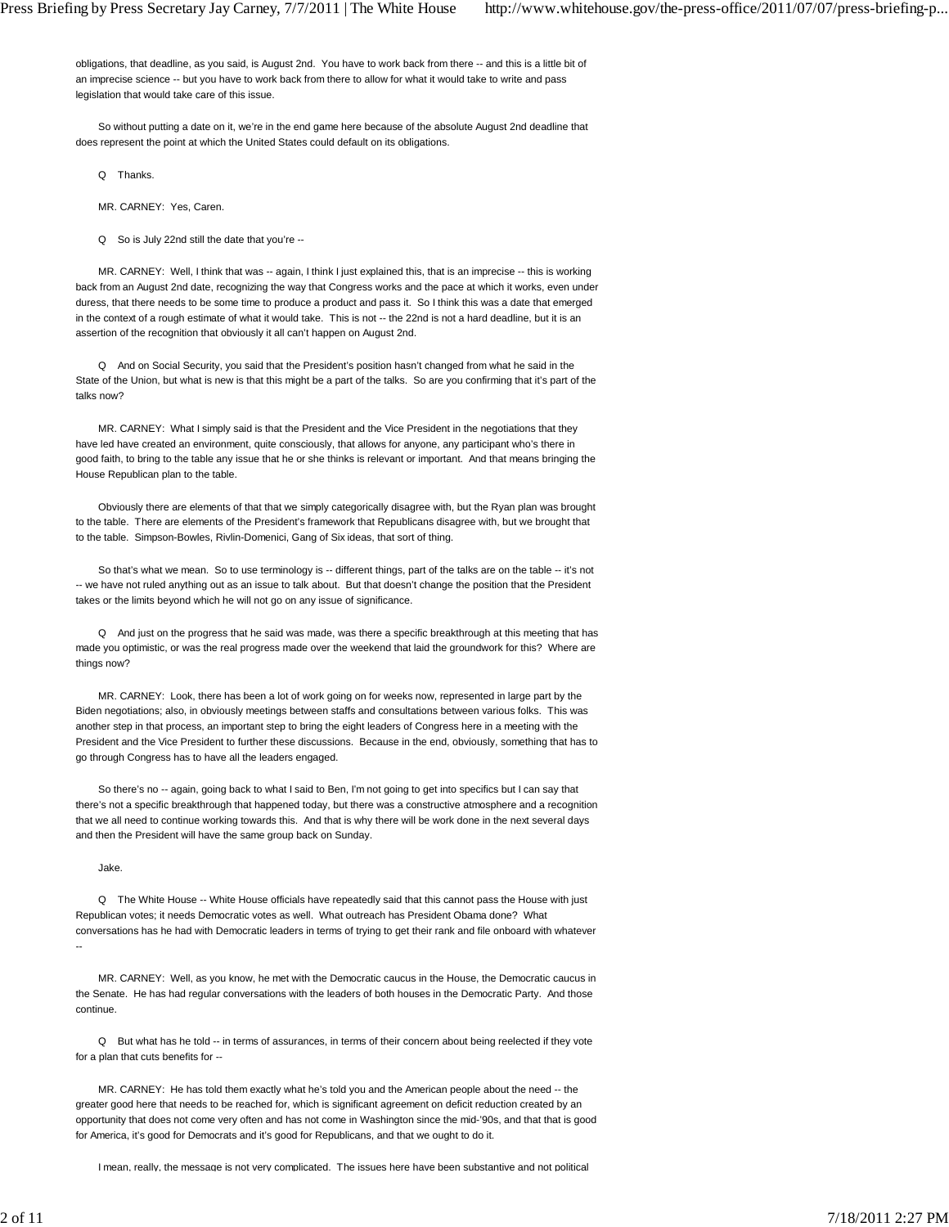obligations, that deadline, as you said, is August 2nd. You have to work back from there -- and this is a little bit of an imprecise science -- but you have to work back from there to allow for what it would take to write and pass legislation that would take care of this issue.

 So without putting a date on it, we're in the end game here because of the absolute August 2nd deadline that does represent the point at which the United States could default on its obligations.

Q Thanks.

MR. CARNEY: Yes, Caren.

Q So is July 22nd still the date that you're --

MR. CARNEY: Well, I think that was -- again, I think I just explained this, that is an imprecise -- this is working back from an August 2nd date, recognizing the way that Congress works and the pace at which it works, even under duress, that there needs to be some time to produce a product and pass it. So I think this was a date that emerged in the context of a rough estimate of what it would take. This is not -- the 22nd is not a hard deadline, but it is an assertion of the recognition that obviously it all can't happen on August 2nd.

 Q And on Social Security, you said that the President's position hasn't changed from what he said in the State of the Union, but what is new is that this might be a part of the talks. So are you confirming that it's part of the talks now?

 MR. CARNEY: What I simply said is that the President and the Vice President in the negotiations that they have led have created an environment, quite consciously, that allows for anyone, any participant who's there in good faith, to bring to the table any issue that he or she thinks is relevant or important. And that means bringing the House Republican plan to the table.

 Obviously there are elements of that that we simply categorically disagree with, but the Ryan plan was brought to the table. There are elements of the President's framework that Republicans disagree with, but we brought that to the table. Simpson-Bowles, Rivlin-Domenici, Gang of Six ideas, that sort of thing.

So that's what we mean. So to use terminology is -- different things, part of the talks are on the table -- it's not -- we have not ruled anything out as an issue to talk about. But that doesn't change the position that the President takes or the limits beyond which he will not go on any issue of significance.

 Q And just on the progress that he said was made, was there a specific breakthrough at this meeting that has made you optimistic, or was the real progress made over the weekend that laid the groundwork for this? Where are things now?

 MR. CARNEY: Look, there has been a lot of work going on for weeks now, represented in large part by the Biden negotiations; also, in obviously meetings between staffs and consultations between various folks. This was another step in that process, an important step to bring the eight leaders of Congress here in a meeting with the President and the Vice President to further these discussions. Because in the end, obviously, something that has to go through Congress has to have all the leaders engaged.

 So there's no -- again, going back to what I said to Ben, I'm not going to get into specifics but I can say that there's not a specific breakthrough that happened today, but there was a constructive atmosphere and a recognition that we all need to continue working towards this. And that is why there will be work done in the next several days and then the President will have the same group back on Sunday.

Jake.

 Q The White House -- White House officials have repeatedly said that this cannot pass the House with just Republican votes; it needs Democratic votes as well. What outreach has President Obama done? What conversations has he had with Democratic leaders in terms of trying to get their rank and file onboard with whatever --

 MR. CARNEY: Well, as you know, he met with the Democratic caucus in the House, the Democratic caucus in the Senate. He has had regular conversations with the leaders of both houses in the Democratic Party. And those continue.

Q But what has he told -- in terms of assurances, in terms of their concern about being reelected if they vote for a plan that cuts benefits for --

 MR. CARNEY: He has told them exactly what he's told you and the American people about the need -- the greater good here that needs to be reached for, which is significant agreement on deficit reduction created by an opportunity that does not come very often and has not come in Washington since the mid-'90s, and that that is good for America, it's good for Democrats and it's good for Republicans, and that we ought to do it.

I mean, really, the message is not very complicated. The issues here have been substantive and not political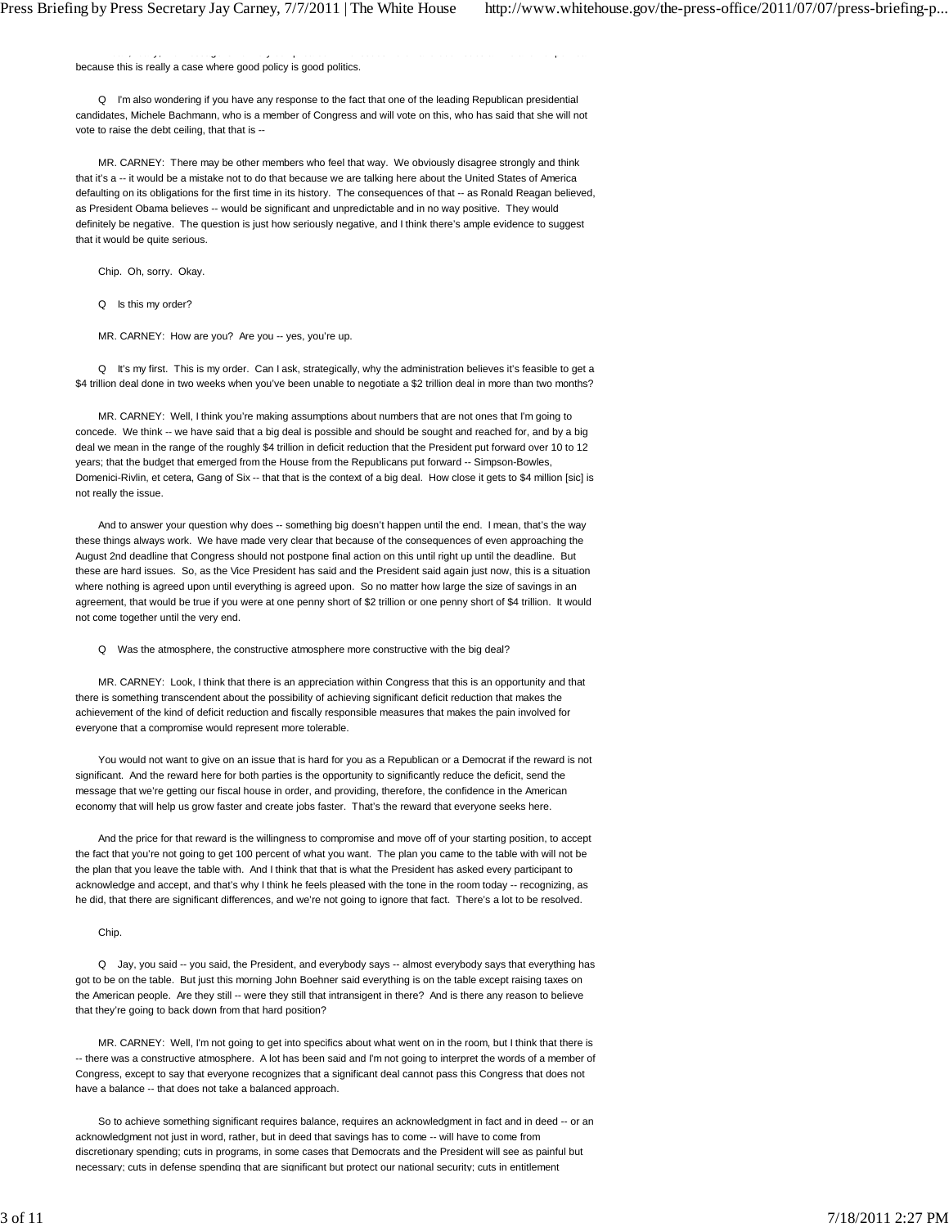because this is really a case where good policy is good politics.

 Q I'm also wondering if you have any response to the fact that one of the leading Republican presidential candidates, Michele Bachmann, who is a member of Congress and will vote on this, who has said that she will not vote to raise the debt ceiling, that that is --

ea y, ea y, e essage s o e y co p ca ed e seus e e a e a e a d o po ca essues e a e a d o po ca e

 MR. CARNEY: There may be other members who feel that way. We obviously disagree strongly and think that it's a -- it would be a mistake not to do that because we are talking here about the United States of America defaulting on its obligations for the first time in its history. The consequences of that -- as Ronald Reagan believed, as President Obama believes -- would be significant and unpredictable and in no way positive. They would definitely be negative. The question is just how seriously negative, and I think there's ample evidence to suggest that it would be quite serious.

Chip. Oh, sorry. Okay.

Q Is this my order?

MR. CARNEY: How are you? Are you -- yes, you're up.

Q It's my first. This is my order. Can I ask, strategically, why the administration believes it's feasible to get a \$4 trillion deal done in two weeks when you've been unable to negotiate a \$2 trillion deal in more than two months?

 MR. CARNEY: Well, I think you're making assumptions about numbers that are not ones that I'm going to concede. We think -- we have said that a big deal is possible and should be sought and reached for, and by a big deal we mean in the range of the roughly \$4 trillion in deficit reduction that the President put forward over 10 to 12 years; that the budget that emerged from the House from the Republicans put forward -- Simpson-Bowles, Domenici-Rivlin, et cetera, Gang of Six -- that that is the context of a big deal. How close it gets to \$4 million [sic] is not really the issue.

And to answer your question why does -- something big doesn't happen until the end. I mean, that's the way these things always work. We have made very clear that because of the consequences of even approaching the August 2nd deadline that Congress should not postpone final action on this until right up until the deadline. But these are hard issues. So, as the Vice President has said and the President said again just now, this is a situation where nothing is agreed upon until everything is agreed upon. So no matter how large the size of savings in an agreement, that would be true if you were at one penny short of \$2 trillion or one penny short of \$4 trillion. It would not come together until the very end.

Q Was the atmosphere, the constructive atmosphere more constructive with the big deal?

 MR. CARNEY: Look, I think that there is an appreciation within Congress that this is an opportunity and that there is something transcendent about the possibility of achieving significant deficit reduction that makes the achievement of the kind of deficit reduction and fiscally responsible measures that makes the pain involved for everyone that a compromise would represent more tolerable.

 You would not want to give on an issue that is hard for you as a Republican or a Democrat if the reward is not significant. And the reward here for both parties is the opportunity to significantly reduce the deficit, send the message that we're getting our fiscal house in order, and providing, therefore, the confidence in the American economy that will help us grow faster and create jobs faster. That's the reward that everyone seeks here.

 And the price for that reward is the willingness to compromise and move off of your starting position, to accept the fact that you're not going to get 100 percent of what you want. The plan you came to the table with will not be the plan that you leave the table with. And I think that that is what the President has asked every participant to acknowledge and accept, and that's why I think he feels pleased with the tone in the room today -- recognizing, as he did, that there are significant differences, and we're not going to ignore that fact. There's a lot to be resolved.

## Chip.

Q Jay, you said -- you said, the President, and everybody says -- almost everybody says that everything has got to be on the table. But just this morning John Boehner said everything is on the table except raising taxes on the American people. Are they still -- were they still that intransigent in there? And is there any reason to believe that they're going to back down from that hard position?

 MR. CARNEY: Well, I'm not going to get into specifics about what went on in the room, but I think that there is -- there was a constructive atmosphere. A lot has been said and I'm not going to interpret the words of a member of Congress, except to say that everyone recognizes that a significant deal cannot pass this Congress that does not have a balance -- that does not take a balanced approach.

 So to achieve something significant requires balance, requires an acknowledgment in fact and in deed -- or an acknowledgment not just in word, rather, but in deed that savings has to come -- will have to come from discretionary spending; cuts in programs, in some cases that Democrats and the President will see as painful but necessary; cuts in defense spending that are significant but protect our national security; cuts in entitlement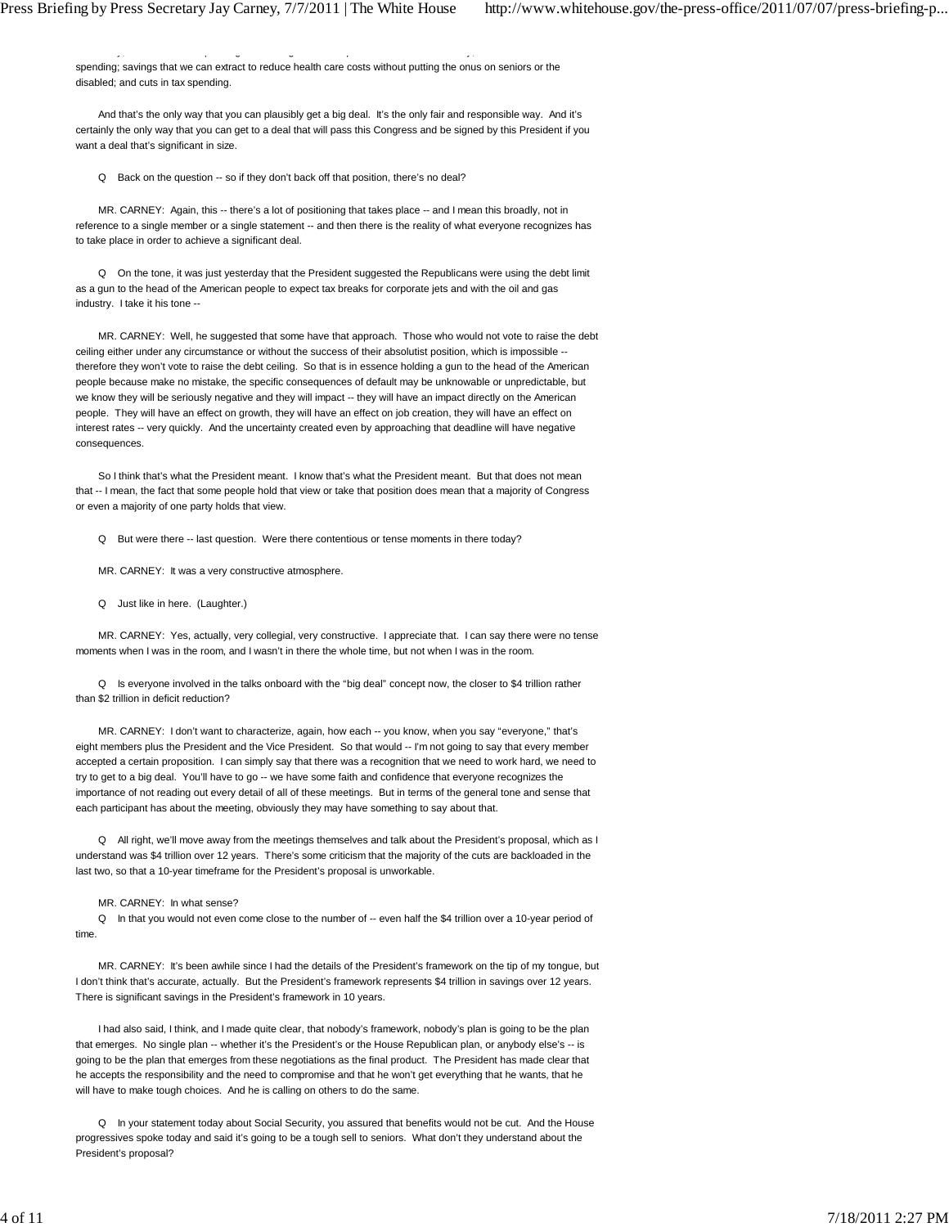spending; savings that we can extract to reduce health care costs without putting the onus on seniors or the disabled; and cuts in tax spending.

 $y$ ; p g g g p  $y$ ; p g g p  $y$ ; p g g p  $y$ ; p  $y$ ; p  $y$ ; p  $y$ ; p  $y$ ; p  $y$ ; p  $y$ ; p  $y$ ; p  $y$ ; p  $y$ ; p  $y$ ; p  $y$ ; p  $y$ ; p  $y$ ; p  $y$ ; p  $y$ ; p  $y$ ; p  $y$ ; p  $y$ ; p  $y$ ; p  $y$ ; p  $y$ ; p  $y$ ; p  $y$ ; p  $y$ ; p  $y$ ;

 And that's the only way that you can plausibly get a big deal. It's the only fair and responsible way. And it's certainly the only way that you can get to a deal that will pass this Congress and be signed by this President if you want a deal that's significant in size.

Q Back on the question -- so if they don't back off that position, there's no deal?

 MR. CARNEY: Again, this -- there's a lot of positioning that takes place -- and I mean this broadly, not in reference to a single member or a single statement -- and then there is the reality of what everyone recognizes has to take place in order to achieve a significant deal.

 Q On the tone, it was just yesterday that the President suggested the Republicans were using the debt limit as a gun to the head of the American people to expect tax breaks for corporate jets and with the oil and gas industry. I take it his tone --

 MR. CARNEY: Well, he suggested that some have that approach. Those who would not vote to raise the debt ceiling either under any circumstance or without the success of their absolutist position, which is impossible -therefore they won't vote to raise the debt ceiling. So that is in essence holding a gun to the head of the American people because make no mistake, the specific consequences of default may be unknowable or unpredictable, but we know they will be seriously negative and they will impact -- they will have an impact directly on the American people. They will have an effect on growth, they will have an effect on job creation, they will have an effect on interest rates -- very quickly. And the uncertainty created even by approaching that deadline will have negative consequences.

 So I think that's what the President meant. I know that's what the President meant. But that does not mean that -- I mean, the fact that some people hold that view or take that position does mean that a majority of Congress or even a majority of one party holds that view.

Q But were there -- last question. Were there contentious or tense moments in there today?

MR. CARNEY: It was a very constructive atmosphere.

Q Just like in here. (Laughter.)

 MR. CARNEY: Yes, actually, very collegial, very constructive. I appreciate that. I can say there were no tense moments when I was in the room, and I wasn't in there the whole time, but not when I was in the room.

 Q Is everyone involved in the talks onboard with the "big deal" concept now, the closer to \$4 trillion rather than \$2 trillion in deficit reduction?

 MR. CARNEY: I don't want to characterize, again, how each -- you know, when you say "everyone," that's eight members plus the President and the Vice President. So that would -- I'm not going to say that every member accepted a certain proposition. I can simply say that there was a recognition that we need to work hard, we need to try to get to a big deal. You'll have to go -- we have some faith and confidence that everyone recognizes the importance of not reading out every detail of all of these meetings. But in terms of the general tone and sense that each participant has about the meeting, obviously they may have something to say about that.

 Q All right, we'll move away from the meetings themselves and talk about the President's proposal, which as I understand was \$4 trillion over 12 years. There's some criticism that the majority of the cuts are backloaded in the last two, so that a 10-year timeframe for the President's proposal is unworkable.

MR. CARNEY: In what sense?

 Q In that you would not even come close to the number of -- even half the \$4 trillion over a 10-year period of time.

 MR. CARNEY: It's been awhile since I had the details of the President's framework on the tip of my tongue, but I don't think that's accurate, actually. But the President's framework represents \$4 trillion in savings over 12 years. There is significant savings in the President's framework in 10 years.

 I had also said, I think, and I made quite clear, that nobody's framework, nobody's plan is going to be the plan that emerges. No single plan -- whether it's the President's or the House Republican plan, or anybody else's -- is going to be the plan that emerges from these negotiations as the final product. The President has made clear that he accepts the responsibility and the need to compromise and that he won't get everything that he wants, that he will have to make tough choices. And he is calling on others to do the same.

 Q In your statement today about Social Security, you assured that benefits would not be cut. And the House progressives spoke today and said it's going to be a tough sell to seniors. What don't they understand about the President's proposal?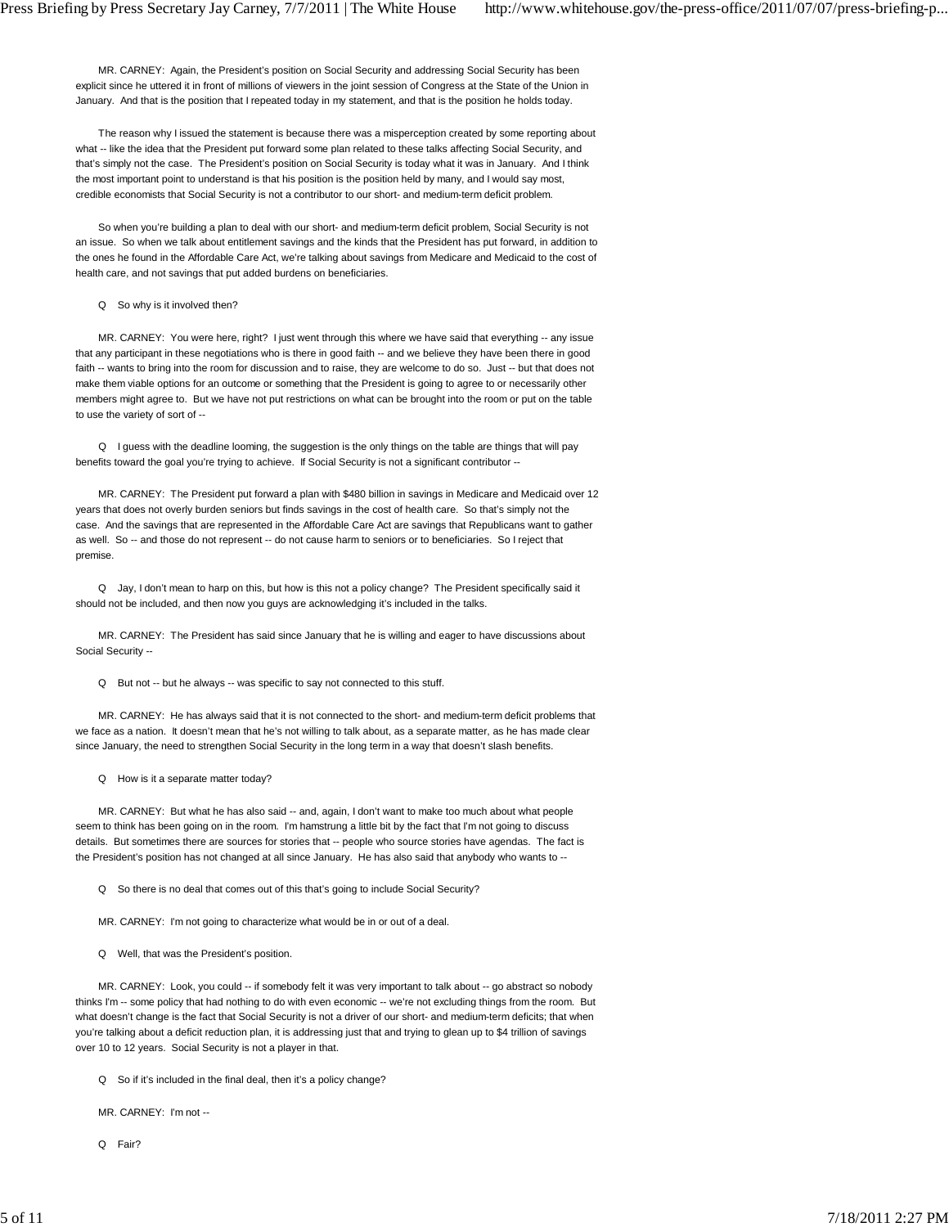MR. CARNEY: Again, the President's position on Social Security and addressing Social Security has been explicit since he uttered it in front of millions of viewers in the joint session of Congress at the State of the Union in January. And that is the position that I repeated today in my statement, and that is the position he holds today.

 The reason why I issued the statement is because there was a misperception created by some reporting about what -- like the idea that the President put forward some plan related to these talks affecting Social Security, and that's simply not the case. The President's position on Social Security is today what it was in January. And I think the most important point to understand is that his position is the position held by many, and I would say most, credible economists that Social Security is not a contributor to our short- and medium-term deficit problem.

 So when you're building a plan to deal with our short- and medium-term deficit problem, Social Security is not an issue. So when we talk about entitlement savings and the kinds that the President has put forward, in addition to the ones he found in the Affordable Care Act, we're talking about savings from Medicare and Medicaid to the cost of health care, and not savings that put added burdens on beneficiaries.

Q So why is it involved then?

MR. CARNEY: You were here, right? I just went through this where we have said that everything -- any issue that any participant in these negotiations who is there in good faith -- and we believe they have been there in good faith -- wants to bring into the room for discussion and to raise, they are welcome to do so. Just -- but that does not make them viable options for an outcome or something that the President is going to agree to or necessarily other members might agree to. But we have not put restrictions on what can be brought into the room or put on the table to use the variety of sort of --

 Q I guess with the deadline looming, the suggestion is the only things on the table are things that will pay benefits toward the goal you're trying to achieve. If Social Security is not a significant contributor --

 MR. CARNEY: The President put forward a plan with \$480 billion in savings in Medicare and Medicaid over 12 years that does not overly burden seniors but finds savings in the cost of health care. So that's simply not the case. And the savings that are represented in the Affordable Care Act are savings that Republicans want to gather as well. So -- and those do not represent -- do not cause harm to seniors or to beneficiaries. So I reject that premise.

 Q Jay, I don't mean to harp on this, but how is this not a policy change? The President specifically said it should not be included, and then now you guys are acknowledging it's included in the talks.

 MR. CARNEY: The President has said since January that he is willing and eager to have discussions about Social Security --

Q But not -- but he always -- was specific to say not connected to this stuff.

 MR. CARNEY: He has always said that it is not connected to the short- and medium-term deficit problems that we face as a nation. It doesn't mean that he's not willing to talk about, as a separate matter, as he has made clear since January, the need to strengthen Social Security in the long term in a way that doesn't slash benefits.

Q How is it a separate matter today?

 MR. CARNEY: But what he has also said -- and, again, I don't want to make too much about what people seem to think has been going on in the room. I'm hamstrung a little bit by the fact that I'm not going to discuss details. But sometimes there are sources for stories that -- people who source stories have agendas. The fact is the President's position has not changed at all since January. He has also said that anybody who wants to --

Q So there is no deal that comes out of this that's going to include Social Security?

MR. CARNEY: I'm not going to characterize what would be in or out of a deal.

Q Well, that was the President's position.

 MR. CARNEY: Look, you could -- if somebody felt it was very important to talk about -- go abstract so nobody thinks I'm -- some policy that had nothing to do with even economic -- we're not excluding things from the room. But what doesn't change is the fact that Social Security is not a driver of our short- and medium-term deficits; that when you're talking about a deficit reduction plan, it is addressing just that and trying to glean up to \$4 trillion of savings over 10 to 12 years. Social Security is not a player in that.

Q So if it's included in the final deal, then it's a policy change?

MR. CARNEY: I'm not --

Q Fair?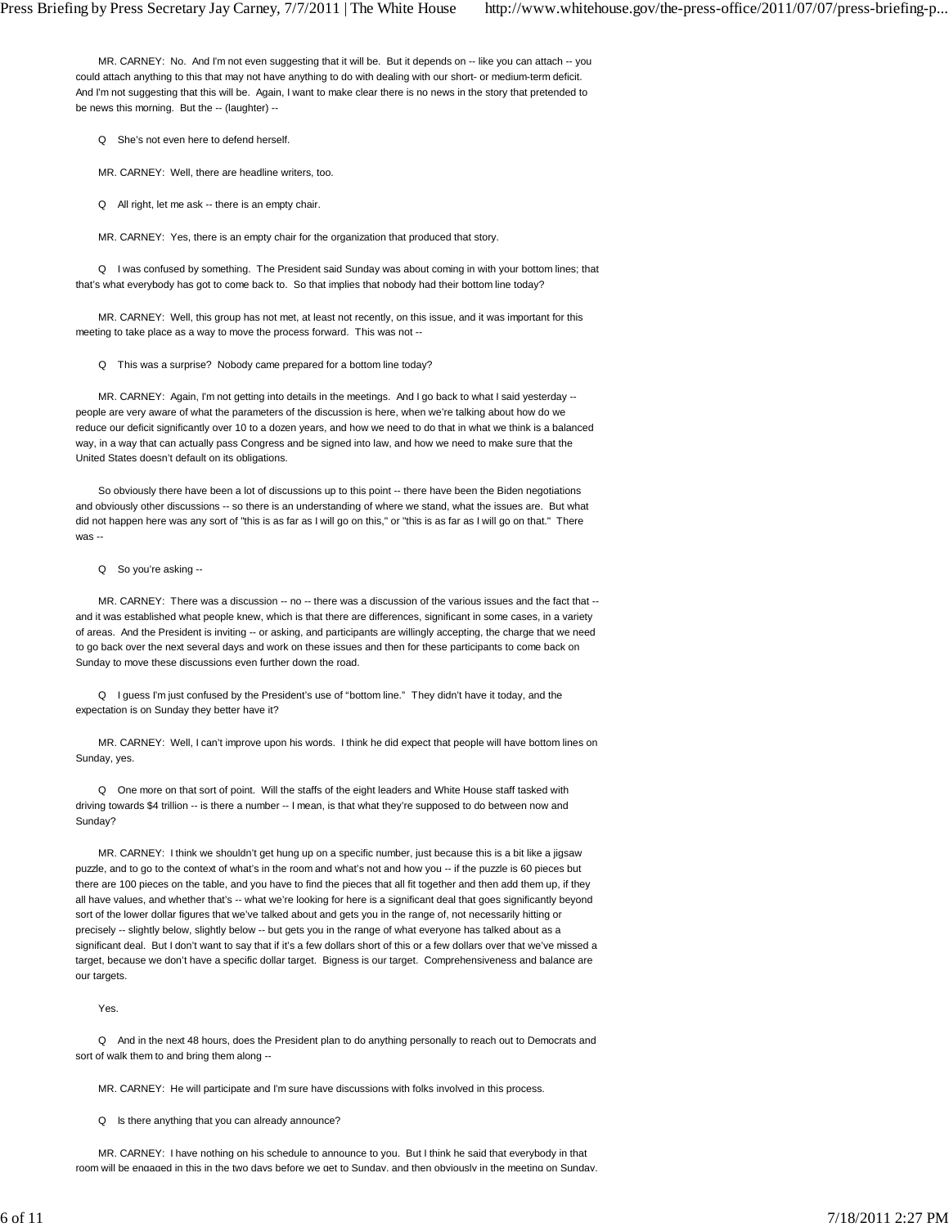MR. CARNEY: No. And I'm not even suggesting that it will be. But it depends on -- like you can attach -- you could attach anything to this that may not have anything to do with dealing with our short- or medium-term deficit. And I'm not suggesting that this will be. Again, I want to make clear there is no news in the story that pretended to be news this morning. But the -- (laughter) --

Q She's not even here to defend herself.

MR. CARNEY: Well, there are headline writers, too.

Q All right, let me ask -- there is an empty chair.

MR. CARNEY: Yes, there is an empty chair for the organization that produced that story.

 Q I was confused by something. The President said Sunday was about coming in with your bottom lines; that that's what everybody has got to come back to. So that implies that nobody had their bottom line today?

 MR. CARNEY: Well, this group has not met, at least not recently, on this issue, and it was important for this meeting to take place as a way to move the process forward. This was not --

Q This was a surprise? Nobody came prepared for a bottom line today?

MR. CARNEY: Again, I'm not getting into details in the meetings. And I go back to what I said yesterday -people are very aware of what the parameters of the discussion is here, when we're talking about how do we reduce our deficit significantly over 10 to a dozen years, and how we need to do that in what we think is a balanced way, in a way that can actually pass Congress and be signed into law, and how we need to make sure that the United States doesn't default on its obligations.

 So obviously there have been a lot of discussions up to this point -- there have been the Biden negotiations and obviously other discussions -- so there is an understanding of where we stand, what the issues are. But what did not happen here was any sort of "this is as far as I will go on this," or "this is as far as I will go on that." There was --

Q So you're asking --

MR. CARNEY: There was a discussion -- no -- there was a discussion of the various issues and the fact that -and it was established what people knew, which is that there are differences, significant in some cases, in a variety of areas. And the President is inviting -- or asking, and participants are willingly accepting, the charge that we need to go back over the next several days and work on these issues and then for these participants to come back on Sunday to move these discussions even further down the road.

 Q I guess I'm just confused by the President's use of "bottom line." They didn't have it today, and the expectation is on Sunday they better have it?

 MR. CARNEY: Well, I can't improve upon his words. I think he did expect that people will have bottom lines on Sunday, yes.

 Q One more on that sort of point. Will the staffs of the eight leaders and White House staff tasked with driving towards \$4 trillion -- is there a number -- I mean, is that what they're supposed to do between now and Sunday?

 MR. CARNEY: I think we shouldn't get hung up on a specific number, just because this is a bit like a jigsaw puzzle, and to go to the context of what's in the room and what's not and how you -- if the puzzle is 60 pieces but there are 100 pieces on the table, and you have to find the pieces that all fit together and then add them up, if they all have values, and whether that's -- what we're looking for here is a significant deal that goes significantly beyond sort of the lower dollar figures that we've talked about and gets you in the range of, not necessarily hitting or precisely -- slightly below, slightly below -- but gets you in the range of what everyone has talked about as a significant deal. But I don't want to say that if it's a few dollars short of this or a few dollars over that we've missed a target, because we don't have a specific dollar target. Bigness is our target. Comprehensiveness and balance are our targets.

Yes.

 Q And in the next 48 hours, does the President plan to do anything personally to reach out to Democrats and sort of walk them to and bring them along --

MR. CARNEY: He will participate and I'm sure have discussions with folks involved in this process.

Q Is there anything that you can already announce?

 MR. CARNEY: I have nothing on his schedule to announce to you. But I think he said that everybody in that room will be engaged in this in the two days before we get to Sunday, and then obviously in the meeting on Sunday.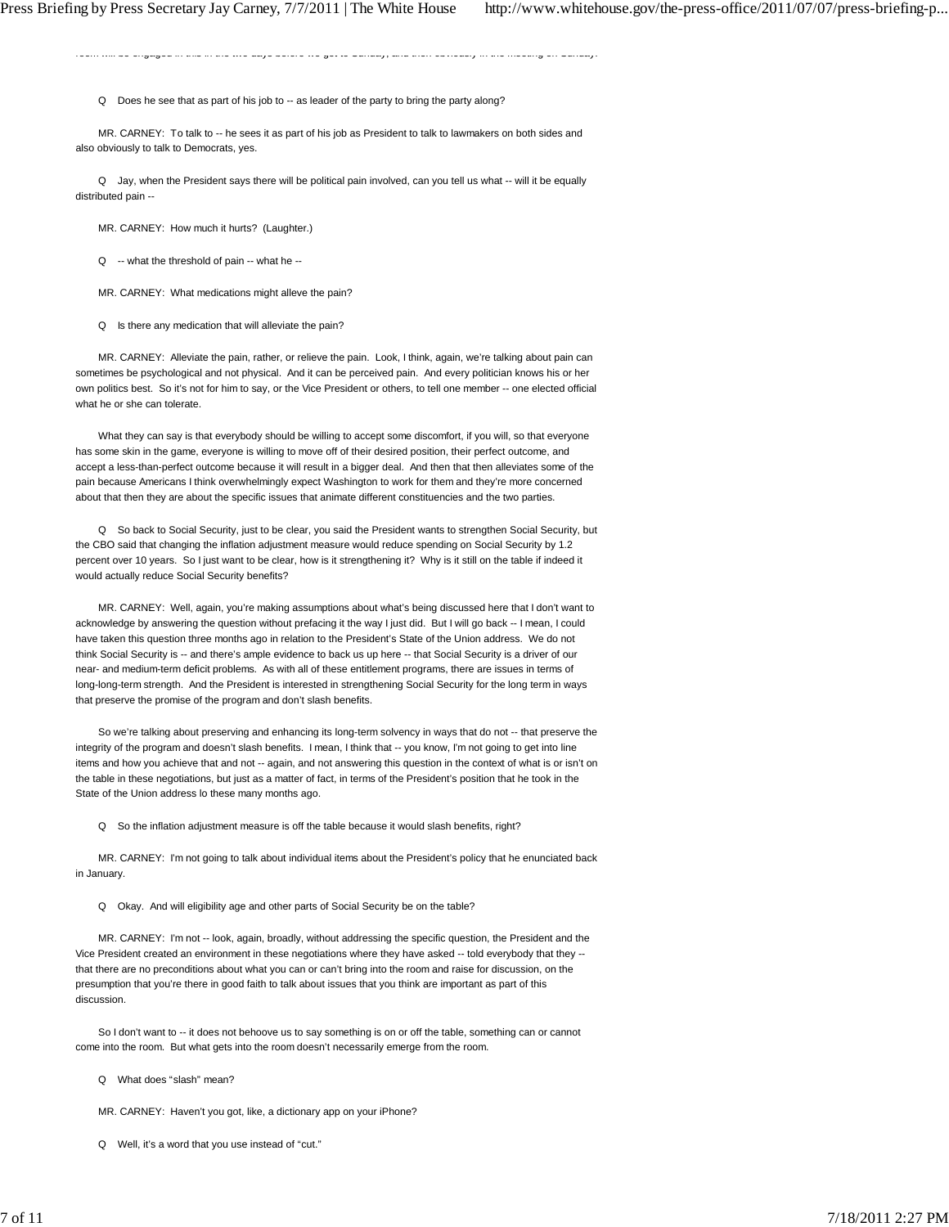Q Does he see that as part of his job to -- as leader of the party to bring the party along?

 MR. CARNEY: To talk to -- he sees it as part of his job as President to talk to lawmakers on both sides and also obviously to talk to Democrats, yes.

room will be engaged in this in the two days before we get to Sunday, and then obviously in the meeting on Sunday.

 Q Jay, when the President says there will be political pain involved, can you tell us what -- will it be equally distributed pain --

MR. CARNEY: How much it hurts? (Laughter.)

Q -- what the threshold of pain -- what he --

MR. CARNEY: What medications might alleve the pain?

Q Is there any medication that will alleviate the pain?

 MR. CARNEY: Alleviate the pain, rather, or relieve the pain. Look, I think, again, we're talking about pain can sometimes be psychological and not physical. And it can be perceived pain. And every politician knows his or her own politics best. So it's not for him to say, or the Vice President or others, to tell one member -- one elected official what he or she can tolerate.

 What they can say is that everybody should be willing to accept some discomfort, if you will, so that everyone has some skin in the game, everyone is willing to move off of their desired position, their perfect outcome, and accept a less-than-perfect outcome because it will result in a bigger deal. And then that then alleviates some of the pain because Americans I think overwhelmingly expect Washington to work for them and they're more concerned about that then they are about the specific issues that animate different constituencies and the two parties.

 Q So back to Social Security, just to be clear, you said the President wants to strengthen Social Security, but the CBO said that changing the inflation adjustment measure would reduce spending on Social Security by 1.2 percent over 10 years. So I just want to be clear, how is it strengthening it? Why is it still on the table if indeed it would actually reduce Social Security benefits?

 MR. CARNEY: Well, again, you're making assumptions about what's being discussed here that I don't want to acknowledge by answering the question without prefacing it the way I just did. But I will go back -- I mean, I could have taken this question three months ago in relation to the President's State of the Union address. We do not think Social Security is -- and there's ample evidence to back us up here -- that Social Security is a driver of our near- and medium-term deficit problems. As with all of these entitlement programs, there are issues in terms of long-long-term strength. And the President is interested in strengthening Social Security for the long term in ways that preserve the promise of the program and don't slash benefits.

 So we're talking about preserving and enhancing its long-term solvency in ways that do not -- that preserve the integrity of the program and doesn't slash benefits. I mean, I think that -- you know, I'm not going to get into line items and how you achieve that and not -- again, and not answering this question in the context of what is or isn't on the table in these negotiations, but just as a matter of fact, in terms of the President's position that he took in the State of the Union address lo these many months ago.

Q So the inflation adjustment measure is off the table because it would slash benefits, right?

 MR. CARNEY: I'm not going to talk about individual items about the President's policy that he enunciated back in January.

Q Okay. And will eligibility age and other parts of Social Security be on the table?

MR. CARNEY: I'm not -- look, again, broadly, without addressing the specific question, the President and the Vice President created an environment in these negotiations where they have asked -- told everybody that they - that there are no preconditions about what you can or can't bring into the room and raise for discussion, on the presumption that you're there in good faith to talk about issues that you think are important as part of this discussion.

 So I don't want to -- it does not behoove us to say something is on or off the table, something can or cannot come into the room. But what gets into the room doesn't necessarily emerge from the room.

Q What does "slash" mean?

MR. CARNEY: Haven't you got, like, a dictionary app on your iPhone?

Q Well, it's a word that you use instead of "cut."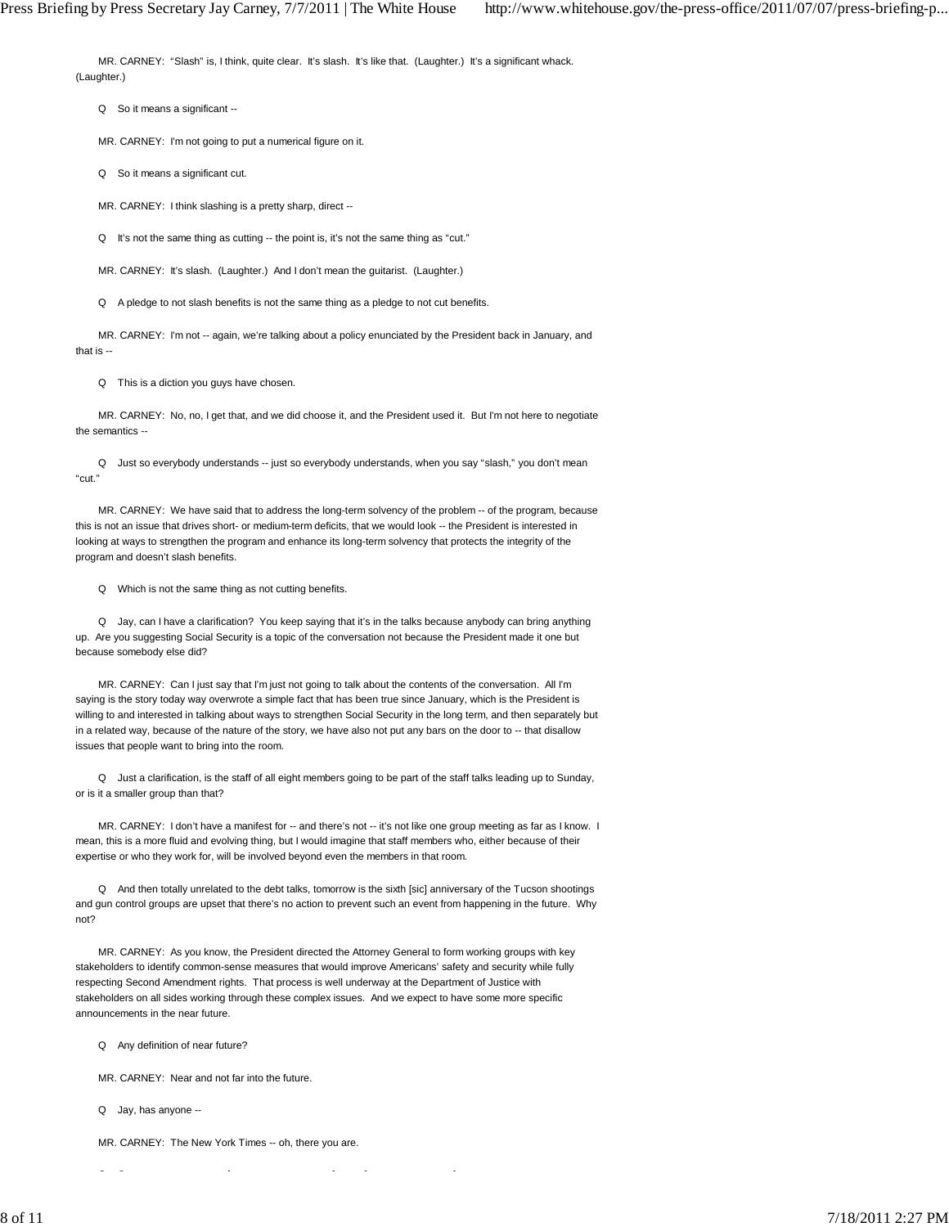MR. CARNEY: "Slash" is, I think, quite clear. It's slash. It's like that. (Laughter.) It's a significant whack. (Laughter.)

Q So it means a significant --

MR. CARNEY: I'm not going to put a numerical figure on it.

Q So it means a significant cut.

MR. CARNEY: I think slashing is a pretty sharp, direct --

Q It's not the same thing as cutting -- the point is, it's not the same thing as "cut."

MR. CARNEY: It's slash. (Laughter.) And I don't mean the guitarist. (Laughter.)

Q A pledge to not slash benefits is not the same thing as a pledge to not cut benefits.

MR. CARNEY: I'm not -- again, we're talking about a policy enunciated by the President back in January, and that is --

Q This is a diction you guys have chosen.

 MR. CARNEY: No, no, I get that, and we did choose it, and the President used it. But I'm not here to negotiate the semantics --

 Q Just so everybody understands -- just so everybody understands, when you say "slash," you don't mean "cut."

 MR. CARNEY: We have said that to address the long-term solvency of the problem -- of the program, because this is not an issue that drives short- or medium-term deficits, that we would look -- the President is interested in looking at ways to strengthen the program and enhance its long-term solvency that protects the integrity of the program and doesn't slash benefits.

Q Which is not the same thing as not cutting benefits.

 Q Jay, can I have a clarification? You keep saying that it's in the talks because anybody can bring anything up. Are you suggesting Social Security is a topic of the conversation not because the President made it one but because somebody else did?

 MR. CARNEY: Can I just say that I'm just not going to talk about the contents of the conversation. All I'm saying is the story today way overwrote a simple fact that has been true since January, which is the President is willing to and interested in talking about ways to strengthen Social Security in the long term, and then separately but in a related way, because of the nature of the story, we have also not put any bars on the door to -- that disallow issues that people want to bring into the room.

 Q Just a clarification, is the staff of all eight members going to be part of the staff talks leading up to Sunday, or is it a smaller group than that?

 MR. CARNEY: I don't have a manifest for -- and there's not -- it's not like one group meeting as far as I know. I mean, this is a more fluid and evolving thing, but I would imagine that staff members who, either because of their expertise or who they work for, will be involved beyond even the members in that room.

 Q And then totally unrelated to the debt talks, tomorrow is the sixth [sic] anniversary of the Tucson shootings and gun control groups are upset that there's no action to prevent such an event from happening in the future. Why not?

 MR. CARNEY: As you know, the President directed the Attorney General to form working groups with key stakeholders to identify common-sense measures that would improve Americans' safety and security while fully respecting Second Amendment rights. That process is well underway at the Department of Justice with stakeholders on all sides working through these complex issues. And we expect to have some more specific announcements in the near future.

Q Any definition of near future?

MR. CARNEY: Near and not far into the future.

Q Jay, has anyone --

MR. CARNEY: The New York Times -- oh, there you are.

 $\mathcal{L}_{\mathcal{A}}$ 

8 of 11 2:27 PM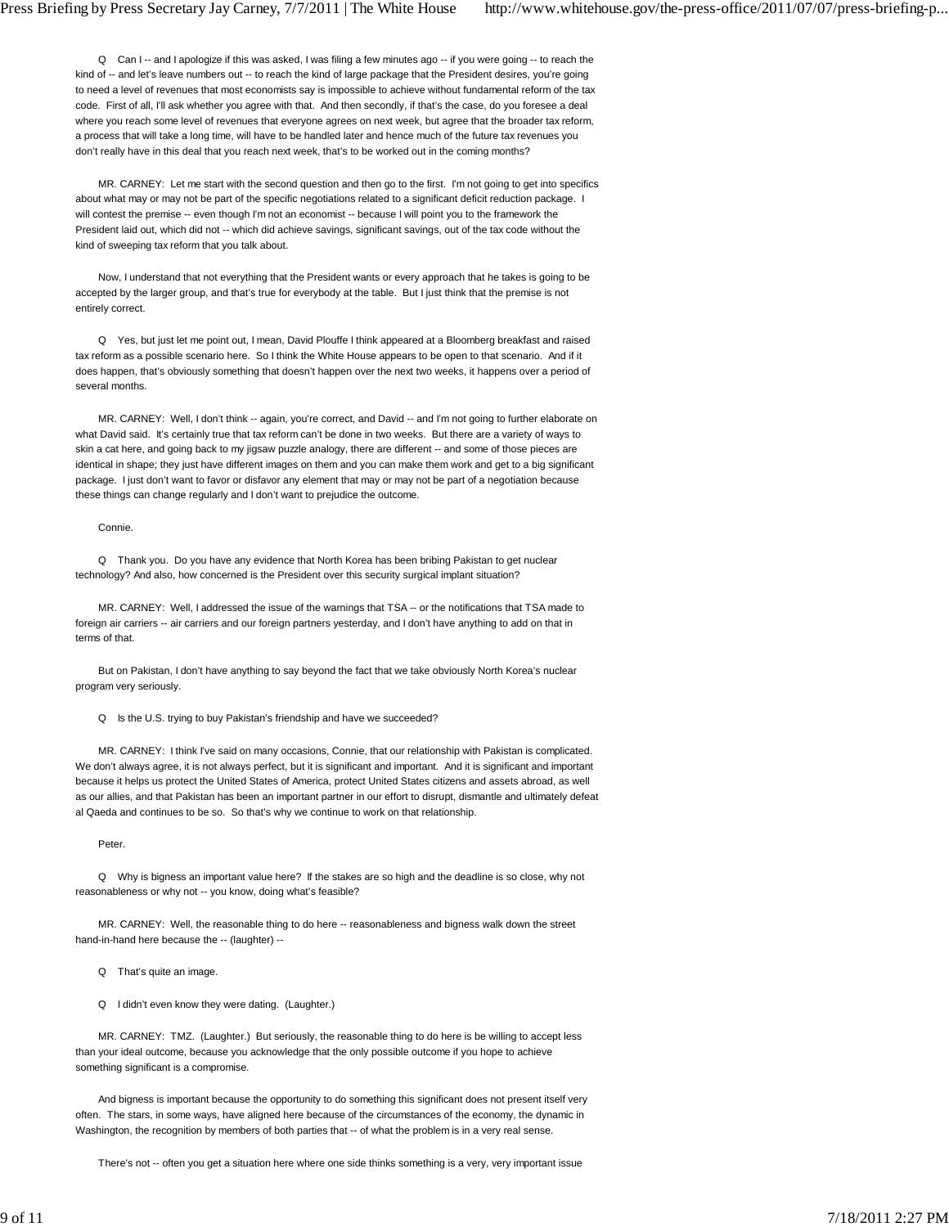Q Can I -- and I apologize if this was asked, I was filing a few minutes ago -- if you were going -- to reach the kind of -- and let's leave numbers out -- to reach the kind of large package that the President desires, you're going to need a level of revenues that most economists say is impossible to achieve without fundamental reform of the tax code. First of all, I'll ask whether you agree with that. And then secondly, if that's the case, do you foresee a deal where you reach some level of revenues that everyone agrees on next week, but agree that the broader tax reform, a process that will take a long time, will have to be handled later and hence much of the future tax revenues you don't really have in this deal that you reach next week, that's to be worked out in the coming months?

 MR. CARNEY: Let me start with the second question and then go to the first. I'm not going to get into specifics about what may or may not be part of the specific negotiations related to a significant deficit reduction package. I will contest the premise -- even though I'm not an economist -- because I will point you to the framework the President laid out, which did not -- which did achieve savings, significant savings, out of the tax code without the kind of sweeping tax reform that you talk about.

 Now, I understand that not everything that the President wants or every approach that he takes is going to be accepted by the larger group, and that's true for everybody at the table. But I just think that the premise is not entirely correct.

 Q Yes, but just let me point out, I mean, David Plouffe I think appeared at a Bloomberg breakfast and raised tax reform as a possible scenario here. So I think the White House appears to be open to that scenario. And if it does happen, that's obviously something that doesn't happen over the next two weeks, it happens over a period of several months.

MR. CARNEY: Well, I don't think -- again, you're correct, and David -- and I'm not going to further elaborate on what David said. It's certainly true that tax reform can't be done in two weeks. But there are a variety of ways to skin a cat here, and going back to my jigsaw puzzle analogy, there are different -- and some of those pieces are identical in shape; they just have different images on them and you can make them work and get to a big significant package. I just don't want to favor or disfavor any element that may or may not be part of a negotiation because these things can change regularly and I don't want to prejudice the outcome.

Connie.

 Q Thank you. Do you have any evidence that North Korea has been bribing Pakistan to get nuclear technology? And also, how concerned is the President over this security surgical implant situation?

 MR. CARNEY: Well, I addressed the issue of the warnings that TSA -- or the notifications that TSA made to foreign air carriers -- air carriers and our foreign partners yesterday, and I don't have anything to add on that in terms of that.

 But on Pakistan, I don't have anything to say beyond the fact that we take obviously North Korea's nuclear program very seriously.

Q Is the U.S. trying to buy Pakistan's friendship and have we succeeded?

 MR. CARNEY: I think I've said on many occasions, Connie, that our relationship with Pakistan is complicated. We don't always agree, it is not always perfect, but it is significant and important. And it is significant and important because it helps us protect the United States of America, protect United States citizens and assets abroad, as well as our allies, and that Pakistan has been an important partner in our effort to disrupt, dismantle and ultimately defeat al Qaeda and continues to be so. So that's why we continue to work on that relationship.

Peter.

 Q Why is bigness an important value here? If the stakes are so high and the deadline is so close, why not reasonableness or why not -- you know, doing what's feasible?

 MR. CARNEY: Well, the reasonable thing to do here -- reasonableness and bigness walk down the street hand-in-hand here because the -- (laughter) --

Q That's quite an image.

Q I didn't even know they were dating. (Laughter.)

 MR. CARNEY: TMZ. (Laughter.) But seriously, the reasonable thing to do here is be willing to accept less than your ideal outcome, because you acknowledge that the only possible outcome if you hope to achieve something significant is a compromise.

 And bigness is important because the opportunity to do something this significant does not present itself very often. The stars, in some ways, have aligned here because of the circumstances of the economy, the dynamic in Washington, the recognition by members of both parties that -- of what the problem is in a very real sense.

There's not -- often you get a situation here where one side thinks something is a very, very important issue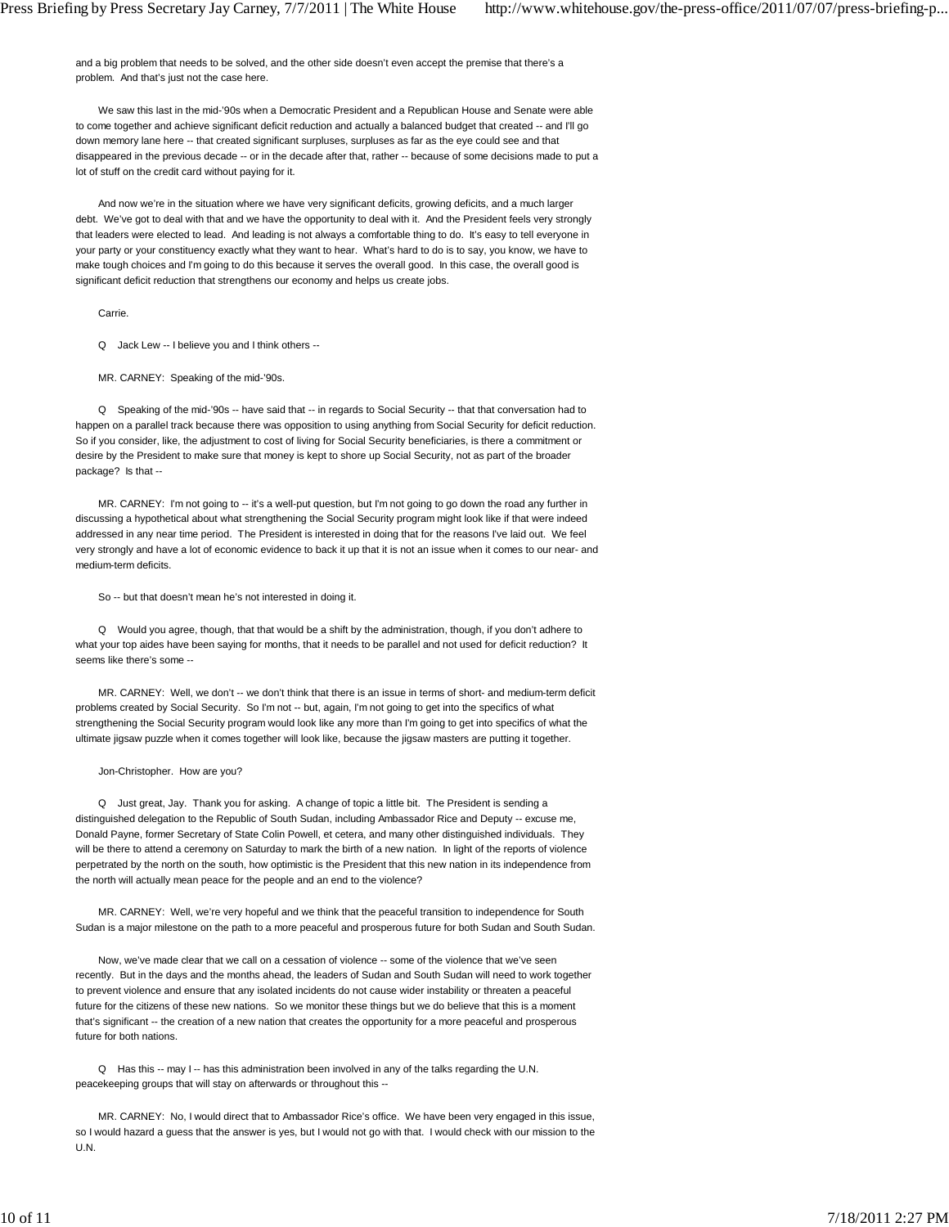and a big problem that needs to be solved, and the other side doesn't even accept the premise that there's a problem. And that's just not the case here.

 We saw this last in the mid-'90s when a Democratic President and a Republican House and Senate were able to come together and achieve significant deficit reduction and actually a balanced budget that created -- and I'll go down memory lane here -- that created significant surpluses, surpluses as far as the eye could see and that disappeared in the previous decade -- or in the decade after that, rather -- because of some decisions made to put a lot of stuff on the credit card without paying for it.

 And now we're in the situation where we have very significant deficits, growing deficits, and a much larger debt. We've got to deal with that and we have the opportunity to deal with it. And the President feels very strongly that leaders were elected to lead. And leading is not always a comfortable thing to do. It's easy to tell everyone in your party or your constituency exactly what they want to hear. What's hard to do is to say, you know, we have to make tough choices and I'm going to do this because it serves the overall good. In this case, the overall good is significant deficit reduction that strengthens our economy and helps us create jobs.

Carrie.

Q Jack Lew -- I believe you and I think others --

MR. CARNEY: Speaking of the mid-'90s.

 Q Speaking of the mid-'90s -- have said that -- in regards to Social Security -- that that conversation had to happen on a parallel track because there was opposition to using anything from Social Security for deficit reduction. So if you consider, like, the adjustment to cost of living for Social Security beneficiaries, is there a commitment or desire by the President to make sure that money is kept to shore up Social Security, not as part of the broader package? Is that --

 MR. CARNEY: I'm not going to -- it's a well-put question, but I'm not going to go down the road any further in discussing a hypothetical about what strengthening the Social Security program might look like if that were indeed addressed in any near time period. The President is interested in doing that for the reasons I've laid out. We feel very strongly and have a lot of economic evidence to back it up that it is not an issue when it comes to our near- and medium-term deficits.

So -- but that doesn't mean he's not interested in doing it.

 Q Would you agree, though, that that would be a shift by the administration, though, if you don't adhere to what your top aides have been saying for months, that it needs to be parallel and not used for deficit reduction? It seems like there's some --

MR. CARNEY: Well, we don't -- we don't think that there is an issue in terms of short- and medium-term deficit problems created by Social Security. So I'm not -- but, again, I'm not going to get into the specifics of what strengthening the Social Security program would look like any more than I'm going to get into specifics of what the ultimate jigsaw puzzle when it comes together will look like, because the jigsaw masters are putting it together.

## Jon-Christopher. How are you?

 Q Just great, Jay. Thank you for asking. A change of topic a little bit. The President is sending a distinguished delegation to the Republic of South Sudan, including Ambassador Rice and Deputy -- excuse me, Donald Payne, former Secretary of State Colin Powell, et cetera, and many other distinguished individuals. They will be there to attend a ceremony on Saturday to mark the birth of a new nation. In light of the reports of violence perpetrated by the north on the south, how optimistic is the President that this new nation in its independence from the north will actually mean peace for the people and an end to the violence?

 MR. CARNEY: Well, we're very hopeful and we think that the peaceful transition to independence for South Sudan is a major milestone on the path to a more peaceful and prosperous future for both Sudan and South Sudan.

Now, we've made clear that we call on a cessation of violence -- some of the violence that we've seen recently. But in the days and the months ahead, the leaders of Sudan and South Sudan will need to work together to prevent violence and ensure that any isolated incidents do not cause wider instability or threaten a peaceful future for the citizens of these new nations. So we monitor these things but we do believe that this is a moment that's significant -- the creation of a new nation that creates the opportunity for a more peaceful and prosperous future for both nations.

Q Has this -- may I -- has this administration been involved in any of the talks regarding the U.N. peacekeeping groups that will stay on afterwards or throughout this --

 MR. CARNEY: No, I would direct that to Ambassador Rice's office. We have been very engaged in this issue, so I would hazard a guess that the answer is yes, but I would not go with that. I would check with our mission to the U.N.